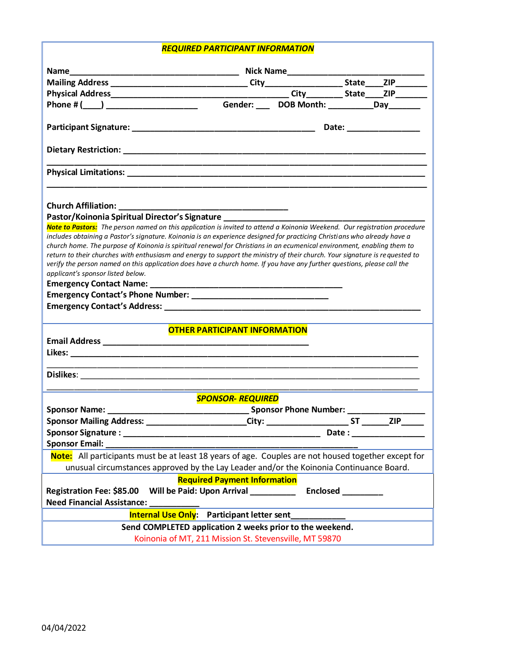## *REQUIRED PARTICIPANT INFORMATION*

|                                                                                                                                                                                                                                                                                                                                                                                                                                                                                                                                                                                                                                                                                                                                                                                                                                                                                                                                      | Name Mailing Address Mailing Address Mailing Address Mailing Address Mailing Address Mailing Address Mailing Address Mailing Address Mailing Address Mailing Address Mailing Address Mailing Address Mailing Address Mailing A |  |                       |  |
|--------------------------------------------------------------------------------------------------------------------------------------------------------------------------------------------------------------------------------------------------------------------------------------------------------------------------------------------------------------------------------------------------------------------------------------------------------------------------------------------------------------------------------------------------------------------------------------------------------------------------------------------------------------------------------------------------------------------------------------------------------------------------------------------------------------------------------------------------------------------------------------------------------------------------------------|--------------------------------------------------------------------------------------------------------------------------------------------------------------------------------------------------------------------------------|--|-----------------------|--|
|                                                                                                                                                                                                                                                                                                                                                                                                                                                                                                                                                                                                                                                                                                                                                                                                                                                                                                                                      |                                                                                                                                                                                                                                |  |                       |  |
|                                                                                                                                                                                                                                                                                                                                                                                                                                                                                                                                                                                                                                                                                                                                                                                                                                                                                                                                      |                                                                                                                                                                                                                                |  |                       |  |
|                                                                                                                                                                                                                                                                                                                                                                                                                                                                                                                                                                                                                                                                                                                                                                                                                                                                                                                                      |                                                                                                                                                                                                                                |  |                       |  |
|                                                                                                                                                                                                                                                                                                                                                                                                                                                                                                                                                                                                                                                                                                                                                                                                                                                                                                                                      |                                                                                                                                                                                                                                |  |                       |  |
|                                                                                                                                                                                                                                                                                                                                                                                                                                                                                                                                                                                                                                                                                                                                                                                                                                                                                                                                      |                                                                                                                                                                                                                                |  | Date: _______________ |  |
| Dietary Restriction: National Activity of the Contract of the Contract of the Contract of the Contract of the Contract of the Contract of the Contract of the Contract of the Contract of the Contract of the Contract of the                                                                                                                                                                                                                                                                                                                                                                                                                                                                                                                                                                                                                                                                                                        |                                                                                                                                                                                                                                |  |                       |  |
|                                                                                                                                                                                                                                                                                                                                                                                                                                                                                                                                                                                                                                                                                                                                                                                                                                                                                                                                      |                                                                                                                                                                                                                                |  |                       |  |
| Pastor/Koinonia Spiritual Director's Signature _________________________________<br>Note to Pastors: The person named on this application is invited to attend a Koinonia Weekend. Our registration procedure<br>includes obtaining a Pastor's signature. Koinonia is an experience designed for practicing Christians who already have a<br>church home. The purpose of Koinonia is spiritual renewal for Christians in an ecumenical environment, enabling them to<br>return to their churches with enthusiasm and energy to support the ministry of their church. Your signature is requested to<br>verify the person named on this application does have a church home. If you have any further questions, please call the<br>applicant's sponsor listed below.<br><b>OTHER PARTICIPANT INFORMATION</b><br><u> 1990 - Johann Stoff, amerikan bestein de stad in de stad in de stad in de stad in de stad in de stad in de st</u> |                                                                                                                                                                                                                                |  |                       |  |
|                                                                                                                                                                                                                                                                                                                                                                                                                                                                                                                                                                                                                                                                                                                                                                                                                                                                                                                                      |                                                                                                                                                                                                                                |  |                       |  |
| <b>SPONSOR- REQUIRED</b>                                                                                                                                                                                                                                                                                                                                                                                                                                                                                                                                                                                                                                                                                                                                                                                                                                                                                                             |                                                                                                                                                                                                                                |  |                       |  |
|                                                                                                                                                                                                                                                                                                                                                                                                                                                                                                                                                                                                                                                                                                                                                                                                                                                                                                                                      |                                                                                                                                                                                                                                |  |                       |  |
| Sponsor Mailing Address: City: City: Sponsor Mailing Address:                                                                                                                                                                                                                                                                                                                                                                                                                                                                                                                                                                                                                                                                                                                                                                                                                                                                        |                                                                                                                                                                                                                                |  |                       |  |
|                                                                                                                                                                                                                                                                                                                                                                                                                                                                                                                                                                                                                                                                                                                                                                                                                                                                                                                                      |                                                                                                                                                                                                                                |  | Date : __________     |  |
| <b>Sponsor Email:</b>                                                                                                                                                                                                                                                                                                                                                                                                                                                                                                                                                                                                                                                                                                                                                                                                                                                                                                                |                                                                                                                                                                                                                                |  |                       |  |
| Note: All participants must be at least 18 years of age. Couples are not housed together except for                                                                                                                                                                                                                                                                                                                                                                                                                                                                                                                                                                                                                                                                                                                                                                                                                                  |                                                                                                                                                                                                                                |  |                       |  |
| unusual circumstances approved by the Lay Leader and/or the Koinonia Continuance Board.                                                                                                                                                                                                                                                                                                                                                                                                                                                                                                                                                                                                                                                                                                                                                                                                                                              |                                                                                                                                                                                                                                |  |                       |  |
| <b>Required Payment Information</b>                                                                                                                                                                                                                                                                                                                                                                                                                                                                                                                                                                                                                                                                                                                                                                                                                                                                                                  |                                                                                                                                                                                                                                |  |                       |  |
| Will be Paid: Upon Arrival<br><b>Enclosed</b><br>Registration Fee: \$85.00                                                                                                                                                                                                                                                                                                                                                                                                                                                                                                                                                                                                                                                                                                                                                                                                                                                           |                                                                                                                                                                                                                                |  |                       |  |
| <b>Need Financial Assistance:</b><br>the control of the control of the control of                                                                                                                                                                                                                                                                                                                                                                                                                                                                                                                                                                                                                                                                                                                                                                                                                                                    |                                                                                                                                                                                                                                |  |                       |  |
| Internal Use Only: Participant letter sent                                                                                                                                                                                                                                                                                                                                                                                                                                                                                                                                                                                                                                                                                                                                                                                                                                                                                           |                                                                                                                                                                                                                                |  |                       |  |
| Send COMPLETED application 2 weeks prior to the weekend.                                                                                                                                                                                                                                                                                                                                                                                                                                                                                                                                                                                                                                                                                                                                                                                                                                                                             |                                                                                                                                                                                                                                |  |                       |  |
| Koinonia of MT, 211 Mission St. Stevensville, MT 59870                                                                                                                                                                                                                                                                                                                                                                                                                                                                                                                                                                                                                                                                                                                                                                                                                                                                               |                                                                                                                                                                                                                                |  |                       |  |